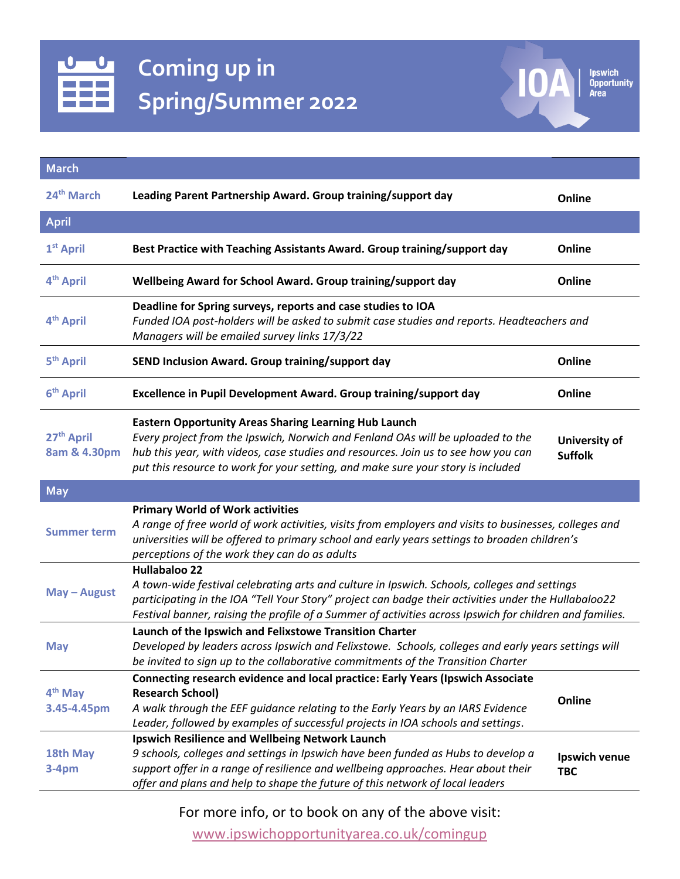

**Ipswich<br>Opportunity<br>Area**  $\overline{0}$ 

| <b>March</b>                           |                                                                                                                                                                                                                                                                                                                                          |                                 |
|----------------------------------------|------------------------------------------------------------------------------------------------------------------------------------------------------------------------------------------------------------------------------------------------------------------------------------------------------------------------------------------|---------------------------------|
| 24 <sup>th</sup> March                 | Leading Parent Partnership Award. Group training/support day                                                                                                                                                                                                                                                                             | Online                          |
| <b>April</b>                           |                                                                                                                                                                                                                                                                                                                                          |                                 |
| 1 <sup>st</sup> April                  | Best Practice with Teaching Assistants Award. Group training/support day                                                                                                                                                                                                                                                                 | Online                          |
| 4 <sup>th</sup> April                  | Wellbeing Award for School Award. Group training/support day                                                                                                                                                                                                                                                                             | Online                          |
| 4 <sup>th</sup> April                  | Deadline for Spring surveys, reports and case studies to IOA<br>Funded IOA post-holders will be asked to submit case studies and reports. Headteachers and<br>Managers will be emailed survey links 17/3/22                                                                                                                              |                                 |
| 5 <sup>th</sup> April                  | SEND Inclusion Award. Group training/support day                                                                                                                                                                                                                                                                                         | Online                          |
| 6 <sup>th</sup> April                  | Excellence in Pupil Development Award. Group training/support day                                                                                                                                                                                                                                                                        | Online                          |
| 27 <sup>th</sup> April<br>8am & 4.30pm | <b>Eastern Opportunity Areas Sharing Learning Hub Launch</b><br>Every project from the Ipswich, Norwich and Fenland OAs will be uploaded to the<br>hub this year, with videos, case studies and resources. Join us to see how you can<br>put this resource to work for your setting, and make sure your story is included                | University of<br><b>Suffolk</b> |
|                                        |                                                                                                                                                                                                                                                                                                                                          |                                 |
| <b>May</b>                             |                                                                                                                                                                                                                                                                                                                                          |                                 |
| <b>Summer term</b>                     | <b>Primary World of Work activities</b><br>A range of free world of work activities, visits from employers and visits to businesses, colleges and<br>universities will be offered to primary school and early years settings to broaden children's<br>perceptions of the work they can do as adults                                      |                                 |
| May - August                           | <b>Hullabaloo 22</b><br>A town-wide festival celebrating arts and culture in Ipswich. Schools, colleges and settings<br>participating in the IOA "Tell Your Story" project can badge their activities under the Hullabaloo22<br>Festival banner, raising the profile of a Summer of activities across Ipswich for children and families. |                                 |
| <b>May</b>                             | Launch of the Ipswich and Felixstowe Transition Charter<br>Developed by leaders across Ipswich and Felixstowe. Schools, colleges and early years settings will<br>be invited to sign up to the collaborative commitments of the Transition Charter                                                                                       |                                 |
| 4 <sup>th</sup> May<br>3.45-4.45pm     | Connecting research evidence and local practice: Early Years (Ipswich Associate<br><b>Research School)</b><br>A walk through the EEF guidance relating to the Early Years by an IARS Evidence<br>Leader, followed by examples of successful projects in IOA schools and settings.<br>Ipswich Resilience and Wellbeing Network Launch     | Online                          |

For more info, or to book on any of the above visit:

[www.ipswichopportunityarea.co.uk/comingup](http://www.ipswichopportunityarea.co.uk/comingup)